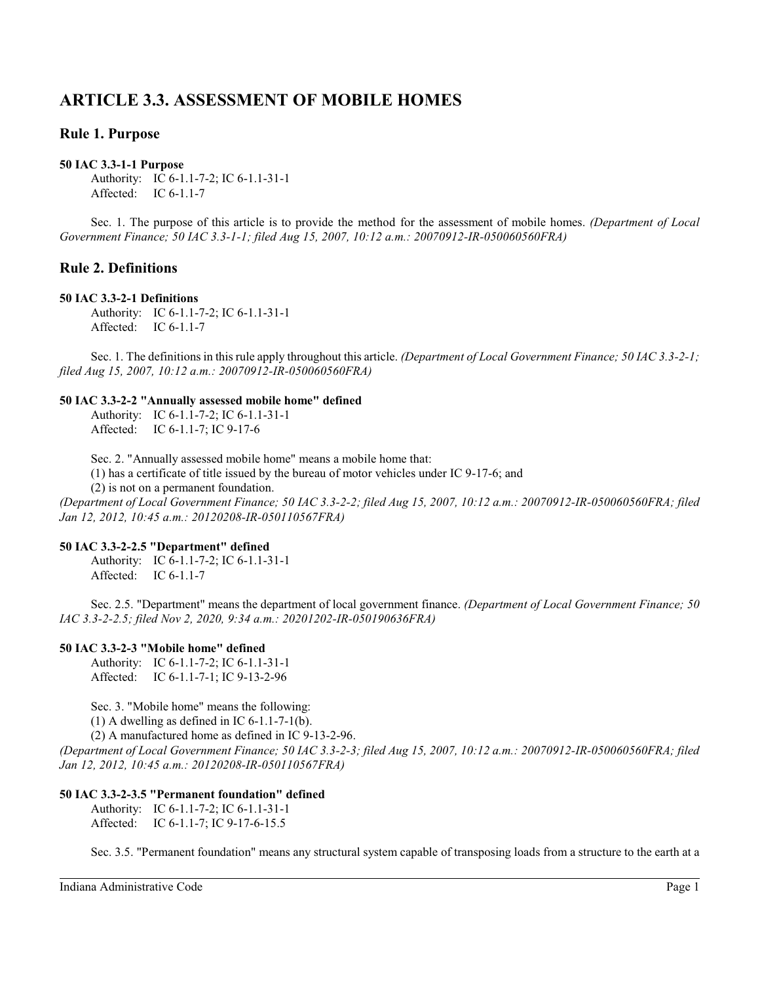# **ARTICLE 3.3. ASSESSMENT OF MOBILE HOMES**

# **Rule 1. Purpose**

### **50 IAC 3.3-1-1 Purpose**

Authority: IC 6-1.1-7-2; IC 6-1.1-31-1 Affected: IC 6-1.1-7

Sec. 1. The purpose of this article is to provide the method for the assessment of mobile homes. *(Department of Local Government Finance; 50 IAC 3.3-1-1; filed Aug 15, 2007, 10:12 a.m.: 20070912-IR-050060560FRA)*

# **Rule 2. Definitions**

### **50 IAC 3.3-2-1 Definitions**

Authority: IC 6-1.1-7-2; IC 6-1.1-31-1 Affected: IC 6-1.1-7

Sec. 1. The definitions in this rule apply throughout this article. *(Department of Local Government Finance;* 50 *IAC* 3.3-2-1; *filed Aug 15, 2007, 10:12 a.m.: 20070912-IR-050060560FRA)*

### **50 IAC 3.3-2-2 "Annually assessed mobile home" defined**

Authority: IC 6-1.1-7-2; IC 6-1.1-31-1 Affected: IC 6-1.1-7; IC 9-17-6

Sec. 2. "Annually assessed mobile home" means a mobile home that:

(1) has a certificate of title issued by the bureau of motor vehicles under IC 9-17-6; and

(2) is not on a permanent foundation.

*(Department of Local Government Finance; 50 IAC 3.3-2-2; filed Aug 15, 2007, 10:12 a.m.: 20070912-IR-050060560FRA; filed Jan 12, 2012, 10:45 a.m.: 20120208-IR-050110567FRA)*

### **50 IAC 3.3-2-2.5 "Department" defined**

Authority: IC 6-1.1-7-2; IC 6-1.1-31-1 Affected: IC 6-1.1-7

Sec. 2.5. "Department" means the department of local government finance. *(Department of Local Government Finance; 50 IAC 3.3-2-2.5; filed Nov 2, 2020, 9:34 a.m.: 20201202-IR-050190636FRA)*

### **50 IAC 3.3-2-3 "Mobile home" defined**

Authority: IC 6-1.1-7-2; IC 6-1.1-31-1 Affected: IC 6-1.1-7-1; IC 9-13-2-96

Sec. 3. "Mobile home" means the following:

 $(1)$  A dwelling as defined in IC 6-1.1-7-1(b).

(2) A manufactured home as defined in IC 9-13-2-96.

*(Department of Local Government Finance; 50 IAC 3.3-2-3; filed Aug 15, 2007, 10:12 a.m.: 20070912-IR-050060560FRA; filed Jan 12, 2012, 10:45 a.m.: 20120208-IR-050110567FRA)*

### **50 IAC 3.3-2-3.5 "Permanent foundation" defined**

Authority: IC 6-1.1-7-2; IC 6-1.1-31-1 Affected: IC 6-1.1-7; IC 9-17-6-15.5

Sec. 3.5. "Permanent foundation" means any structural system capable of transposing loads from a structure to the earth at a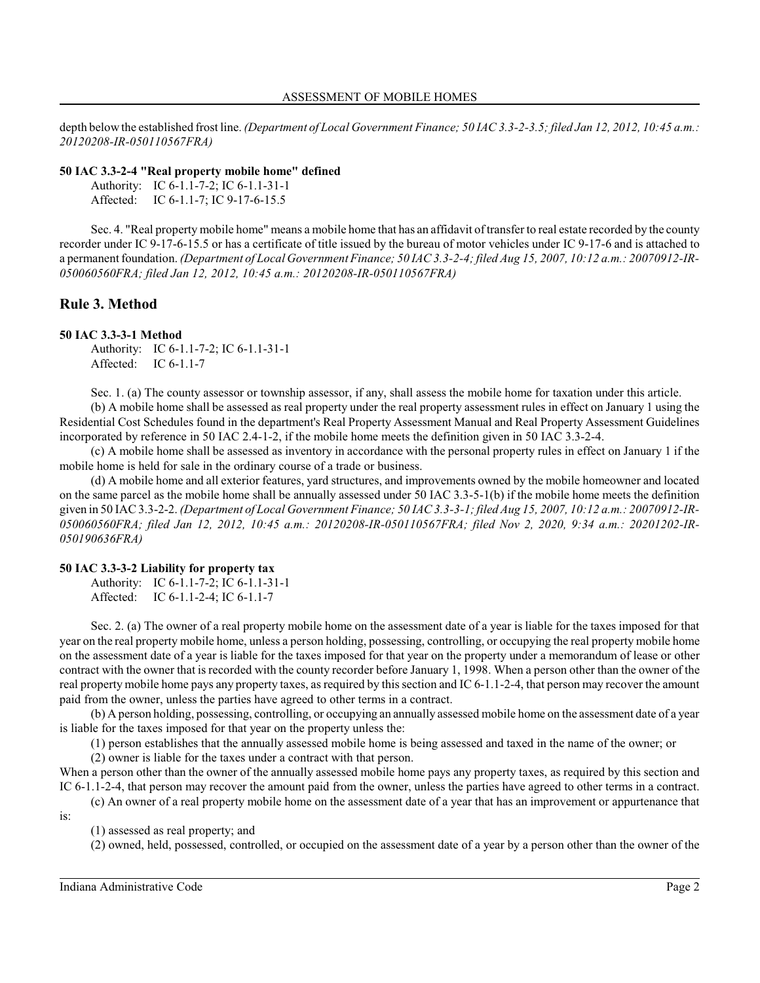depth below the established frost line. *(Department of Local Government Finance; 50 IAC 3.3-2-3.5; filed Jan 12, 2012, 10:45 a.m.: 20120208-IR-050110567FRA)*

### **50 IAC 3.3-2-4 "Real property mobile home" defined**

| Authority: IC 6-1.1-7-2; IC 6-1.1-31-1 |
|----------------------------------------|
| Affected: IC 6-1.1-7; IC 9-17-6-15.5   |

Sec. 4. "Real property mobile home" means a mobile home that has an affidavit of transfer to real estate recorded by the county recorder under IC 9-17-6-15.5 or has a certificate of title issued by the bureau of motor vehicles under IC 9-17-6 and is attached to a permanent foundation. *(Department of Local Government Finance; 50 IAC 3.3-2-4; filed Aug 15, 2007, 10:12 a.m.: 20070912-IR-050060560FRA; filed Jan 12, 2012, 10:45 a.m.: 20120208-IR-050110567FRA)*

# **Rule 3. Method**

### **50 IAC 3.3-3-1 Method**

Authority: IC 6-1.1-7-2; IC 6-1.1-31-1 Affected: IC 6-1.1-7

Sec. 1. (a) The county assessor or township assessor, if any, shall assess the mobile home for taxation under this article.

(b) A mobile home shall be assessed as real property under the real property assessment rules in effect on January 1 using the Residential Cost Schedules found in the department's Real Property Assessment Manual and Real Property Assessment Guidelines incorporated by reference in 50 IAC 2.4-1-2, if the mobile home meets the definition given in 50 IAC 3.3-2-4.

(c) A mobile home shall be assessed as inventory in accordance with the personal property rules in effect on January 1 if the mobile home is held for sale in the ordinary course of a trade or business.

(d) A mobile home and all exterior features, yard structures, and improvements owned by the mobile homeowner and located on the same parcel as the mobile home shall be annually assessed under 50 IAC 3.3-5-1(b) if the mobile home meets the definition given in 50 IAC3.3-2-2. *(Department of Local Government Finance; 50 IAC 3.3-3-1; filed Aug 15, 2007, 10:12 a.m.: 20070912-IR-050060560FRA; filed Jan 12, 2012, 10:45 a.m.: 20120208-IR-050110567FRA; filed Nov 2, 2020, 9:34 a.m.: 20201202-IR-050190636FRA)*

### **50 IAC 3.3-3-2 Liability for property tax**

Authority: IC 6-1.1-7-2; IC 6-1.1-31-1 Affected: IC 6-1.1-2-4; IC 6-1.1-7

Sec. 2. (a) The owner of a real property mobile home on the assessment date of a year is liable for the taxes imposed for that year on the real property mobile home, unless a person holding, possessing, controlling, or occupying the real property mobile home on the assessment date of a year is liable for the taxes imposed for that year on the property under a memorandum of lease or other contract with the owner that is recorded with the county recorder before January 1, 1998. When a person other than the owner of the real property mobile home pays any property taxes, as required by thissection and IC 6-1.1-2-4, that person may recover the amount paid from the owner, unless the parties have agreed to other terms in a contract.

(b) A person holding, possessing, controlling, or occupying an annually assessed mobile home on the assessment date of a year is liable for the taxes imposed for that year on the property unless the:

(1) person establishes that the annually assessed mobile home is being assessed and taxed in the name of the owner; or (2) owner is liable for the taxes under a contract with that person.

When a person other than the owner of the annually assessed mobile home pays any property taxes, as required by this section and IC 6-1.1-2-4, that person may recover the amount paid from the owner, unless the parties have agreed to other terms in a contract. (c) An owner of a real property mobile home on the assessment date of a year that has an improvement or appurtenance that

is:

(1) assessed as real property; and

(2) owned, held, possessed, controlled, or occupied on the assessment date of a year by a person other than the owner of the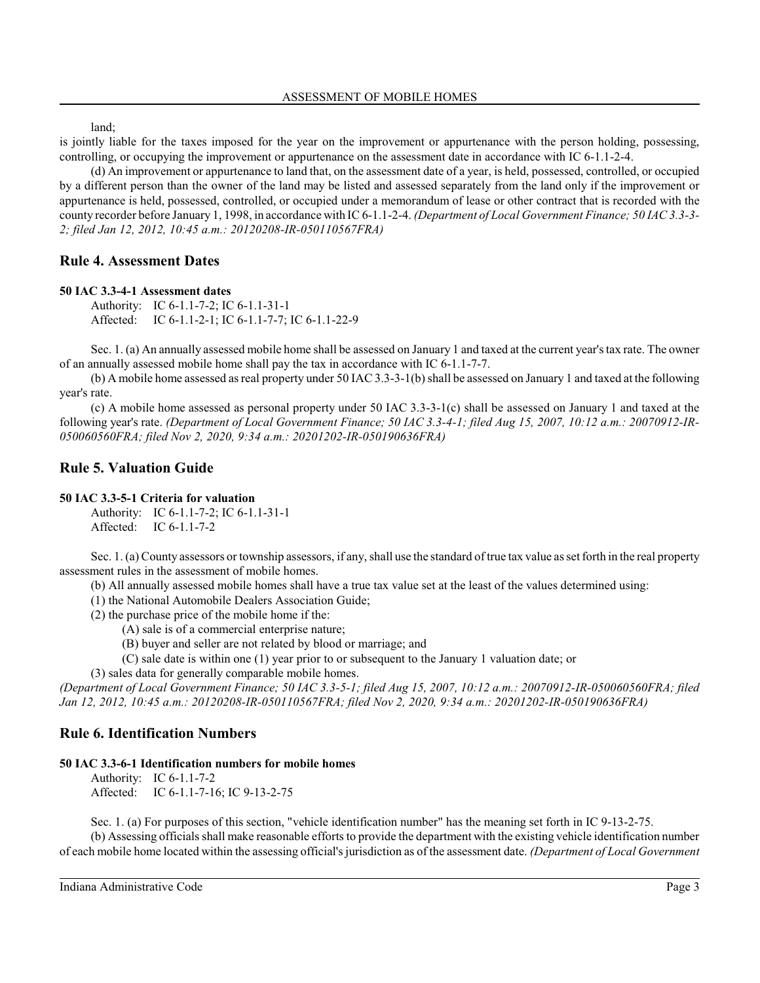land;

is jointly liable for the taxes imposed for the year on the improvement or appurtenance with the person holding, possessing, controlling, or occupying the improvement or appurtenance on the assessment date in accordance with IC 6-1.1-2-4.

(d) An improvement or appurtenance to land that, on the assessment date of a year, is held, possessed, controlled, or occupied by a different person than the owner of the land may be listed and assessed separately from the land only if the improvement or appurtenance is held, possessed, controlled, or occupied under a memorandum of lease or other contract that is recorded with the county recorder before January 1, 1998, in accordance with IC 6-1.1-2-4. *(Department of Local Government Finance; 50 IAC 3.3-3- 2; filed Jan 12, 2012, 10:45 a.m.: 20120208-IR-050110567FRA)*

# **Rule 4. Assessment Dates**

#### **50 IAC 3.3-4-1 Assessment dates**

Authority: IC 6-1.1-7-2; IC 6-1.1-31-1 Affected: IC 6-1.1-2-1; IC 6-1.1-7-7; IC 6-1.1-22-9

Sec. 1. (a) An annually assessed mobile home shall be assessed on January 1 and taxed at the current year's tax rate. The owner of an annually assessed mobile home shall pay the tax in accordance with IC 6-1.1-7-7.

(b) A mobile home assessed as real property under 50 IAC 3.3-3-1(b) shall be assessed on January 1 and taxed at the following year's rate.

(c) A mobile home assessed as personal property under 50 IAC 3.3-3-1(c) shall be assessed on January 1 and taxed at the following year's rate. *(Department of Local Government Finance; 50 IAC 3.3-4-1; filed Aug 15, 2007, 10:12 a.m.: 20070912-IR-050060560FRA; filed Nov 2, 2020, 9:34 a.m.: 20201202-IR-050190636FRA)*

# **Rule 5. Valuation Guide**

### **50 IAC 3.3-5-1 Criteria for valuation**

Authority: IC 6-1.1-7-2; IC 6-1.1-31-1 Affected: IC 6-1.1-7-2

Sec. 1. (a) County assessors or township assessors, if any, shall use the standard of true tax value as set forth in the real property assessment rules in the assessment of mobile homes.

(b) All annually assessed mobile homes shall have a true tax value set at the least of the values determined using:

(1) the National Automobile Dealers Association Guide;

(2) the purchase price of the mobile home if the:

(A) sale is of a commercial enterprise nature;

(B) buyer and seller are not related by blood or marriage; and

(C) sale date is within one (1) year prior to or subsequent to the January 1 valuation date; or

(3) sales data for generally comparable mobile homes.

*(Department of Local Government Finance; 50 IAC 3.3-5-1; filed Aug 15, 2007, 10:12 a.m.: 20070912-IR-050060560FRA; filed Jan 12, 2012, 10:45 a.m.: 20120208-IR-050110567FRA; filed Nov 2, 2020, 9:34 a.m.: 20201202-IR-050190636FRA)*

# **Rule 6. Identification Numbers**

### **50 IAC 3.3-6-1 Identification numbers for mobile homes**

Authority: IC 6-1.1-7-2 Affected: IC 6-1.1-7-16; IC 9-13-2-75

Sec. 1. (a) For purposes of this section, "vehicle identification number" has the meaning set forth in IC 9-13-2-75. (b) Assessing officials shall make reasonable efforts to provide the department with the existing vehicle identification number of each mobile home located within the assessing official'sjurisdiction as of the assessment date. *(Department of Local Government*